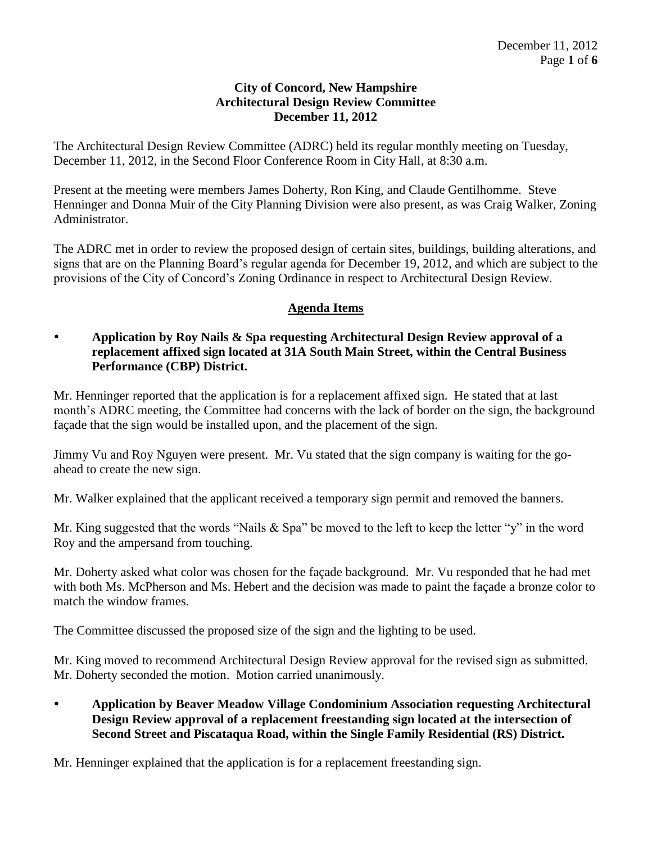#### **City of Concord, New Hampshire Architectural Design Review Committee December 11, 2012**

The Architectural Design Review Committee (ADRC) held its regular monthly meeting on Tuesday, December 11, 2012, in the Second Floor Conference Room in City Hall, at 8:30 a.m.

Present at the meeting were members James Doherty, Ron King, and Claude Gentilhomme. Steve Henninger and Donna Muir of the City Planning Division were also present, as was Craig Walker, Zoning Administrator.

The ADRC met in order to review the proposed design of certain sites, buildings, building alterations, and signs that are on the Planning Board's regular agenda for December 19, 2012, and which are subject to the provisions of the City of Concord's Zoning Ordinance in respect to Architectural Design Review.

# **Agenda Items**

# **Application by Roy Nails & Spa requesting Architectural Design Review approval of a replacement affixed sign located at 31A South Main Street, within the Central Business Performance (CBP) District.**

Mr. Henninger reported that the application is for a replacement affixed sign. He stated that at last month's ADRC meeting, the Committee had concerns with the lack of border on the sign, the background façade that the sign would be installed upon, and the placement of the sign.

Jimmy Vu and Roy Nguyen were present. Mr. Vu stated that the sign company is waiting for the goahead to create the new sign.

Mr. Walker explained that the applicant received a temporary sign permit and removed the banners.

Mr. King suggested that the words "Nails & Spa" be moved to the left to keep the letter "y" in the word Roy and the ampersand from touching.

Mr. Doherty asked what color was chosen for the façade background. Mr. Vu responded that he had met with both Ms. McPherson and Ms. Hebert and the decision was made to paint the façade a bronze color to match the window frames.

The Committee discussed the proposed size of the sign and the lighting to be used.

Mr. King moved to recommend Architectural Design Review approval for the revised sign as submitted. Mr. Doherty seconded the motion. Motion carried unanimously.

 **Application by Beaver Meadow Village Condominium Association requesting Architectural Design Review approval of a replacement freestanding sign located at the intersection of Second Street and Piscataqua Road, within the Single Family Residential (RS) District.** 

Mr. Henninger explained that the application is for a replacement freestanding sign.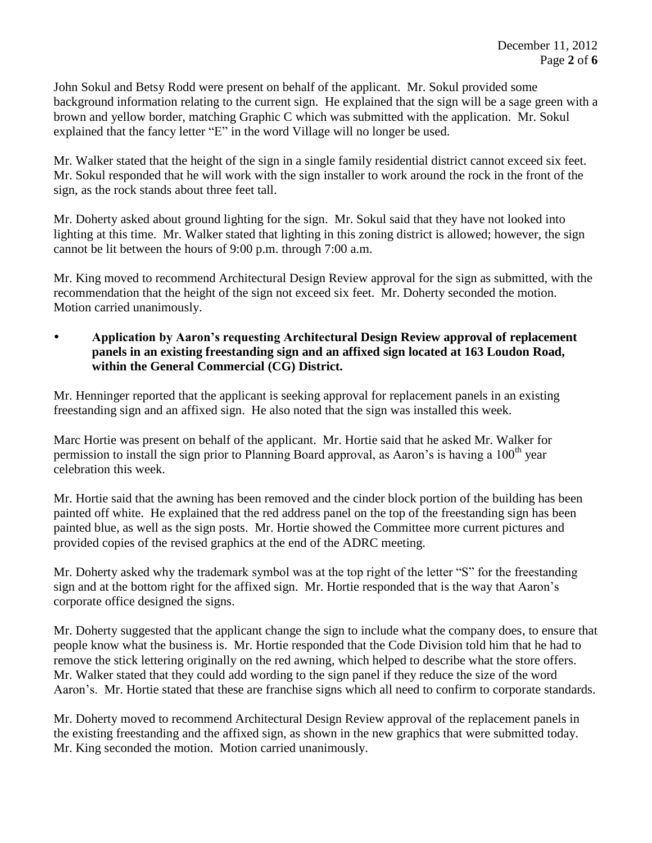John Sokul and Betsy Rodd were present on behalf of the applicant. Mr. Sokul provided some background information relating to the current sign. He explained that the sign will be a sage green with a brown and yellow border, matching Graphic C which was submitted with the application. Mr. Sokul explained that the fancy letter "E" in the word Village will no longer be used.

Mr. Walker stated that the height of the sign in a single family residential district cannot exceed six feet. Mr. Sokul responded that he will work with the sign installer to work around the rock in the front of the sign, as the rock stands about three feet tall.

Mr. Doherty asked about ground lighting for the sign. Mr. Sokul said that they have not looked into lighting at this time. Mr. Walker stated that lighting in this zoning district is allowed; however, the sign cannot be lit between the hours of 9:00 p.m. through 7:00 a.m.

Mr. King moved to recommend Architectural Design Review approval for the sign as submitted, with the recommendation that the height of the sign not exceed six feet. Mr. Doherty seconded the motion. Motion carried unanimously.

### **Application by Aaron's requesting Architectural Design Review approval of replacement panels in an existing freestanding sign and an affixed sign located at 163 Loudon Road, within the General Commercial (CG) District.**

Mr. Henninger reported that the applicant is seeking approval for replacement panels in an existing freestanding sign and an affixed sign. He also noted that the sign was installed this week.

Marc Hortie was present on behalf of the applicant. Mr. Hortie said that he asked Mr. Walker for permission to install the sign prior to Planning Board approval, as Aaron's is having a 100<sup>th</sup> year celebration this week.

Mr. Hortie said that the awning has been removed and the cinder block portion of the building has been painted off white. He explained that the red address panel on the top of the freestanding sign has been painted blue, as well as the sign posts. Mr. Hortie showed the Committee more current pictures and provided copies of the revised graphics at the end of the ADRC meeting.

Mr. Doherty asked why the trademark symbol was at the top right of the letter "S" for the freestanding sign and at the bottom right for the affixed sign. Mr. Hortie responded that is the way that Aaron's corporate office designed the signs.

Mr. Doherty suggested that the applicant change the sign to include what the company does, to ensure that people know what the business is. Mr. Hortie responded that the Code Division told him that he had to remove the stick lettering originally on the red awning, which helped to describe what the store offers. Mr. Walker stated that they could add wording to the sign panel if they reduce the size of the word Aaron's. Mr. Hortie stated that these are franchise signs which all need to confirm to corporate standards.

Mr. Doherty moved to recommend Architectural Design Review approval of the replacement panels in the existing freestanding and the affixed sign, as shown in the new graphics that were submitted today. Mr. King seconded the motion. Motion carried unanimously.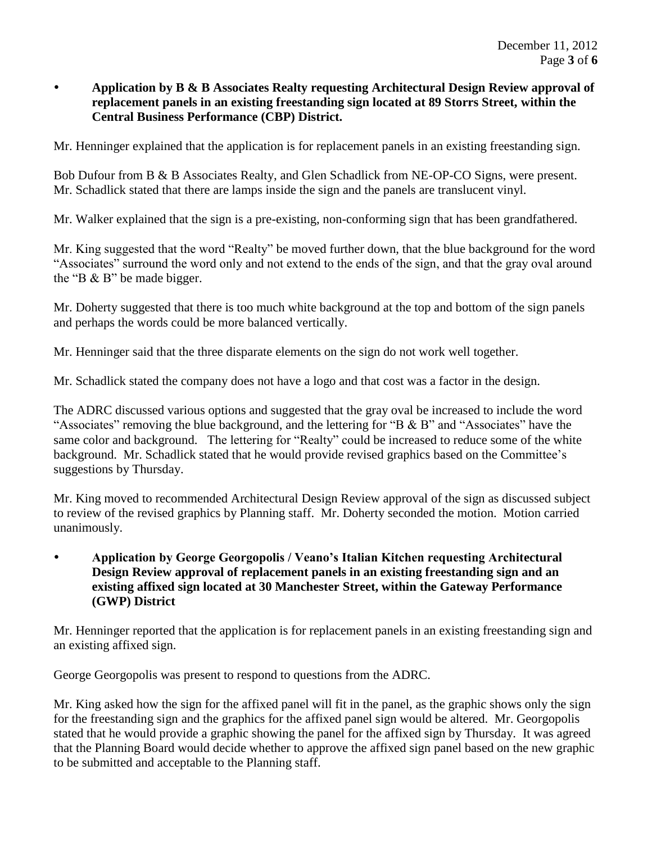### **Application by B & B Associates Realty requesting Architectural Design Review approval of replacement panels in an existing freestanding sign located at 89 Storrs Street, within the Central Business Performance (CBP) District.**

Mr. Henninger explained that the application is for replacement panels in an existing freestanding sign.

Bob Dufour from B & B Associates Realty, and Glen Schadlick from NE-OP-CO Signs, were present. Mr. Schadlick stated that there are lamps inside the sign and the panels are translucent vinyl.

Mr. Walker explained that the sign is a pre-existing, non-conforming sign that has been grandfathered.

Mr. King suggested that the word "Realty" be moved further down, that the blue background for the word "Associates" surround the word only and not extend to the ends of the sign, and that the gray oval around the "B & B" be made bigger.

Mr. Doherty suggested that there is too much white background at the top and bottom of the sign panels and perhaps the words could be more balanced vertically.

Mr. Henninger said that the three disparate elements on the sign do not work well together.

Mr. Schadlick stated the company does not have a logo and that cost was a factor in the design.

The ADRC discussed various options and suggested that the gray oval be increased to include the word "Associates" removing the blue background, and the lettering for "B & B" and "Associates" have the same color and background. The lettering for "Realty" could be increased to reduce some of the white background. Mr. Schadlick stated that he would provide revised graphics based on the Committee's suggestions by Thursday.

Mr. King moved to recommended Architectural Design Review approval of the sign as discussed subject to review of the revised graphics by Planning staff. Mr. Doherty seconded the motion. Motion carried unanimously.

 **Application by George Georgopolis / Veano's Italian Kitchen requesting Architectural Design Review approval of replacement panels in an existing freestanding sign and an existing affixed sign located at 30 Manchester Street, within the Gateway Performance (GWP) District** 

Mr. Henninger reported that the application is for replacement panels in an existing freestanding sign and an existing affixed sign.

George Georgopolis was present to respond to questions from the ADRC.

Mr. King asked how the sign for the affixed panel will fit in the panel, as the graphic shows only the sign for the freestanding sign and the graphics for the affixed panel sign would be altered. Mr. Georgopolis stated that he would provide a graphic showing the panel for the affixed sign by Thursday. It was agreed that the Planning Board would decide whether to approve the affixed sign panel based on the new graphic to be submitted and acceptable to the Planning staff.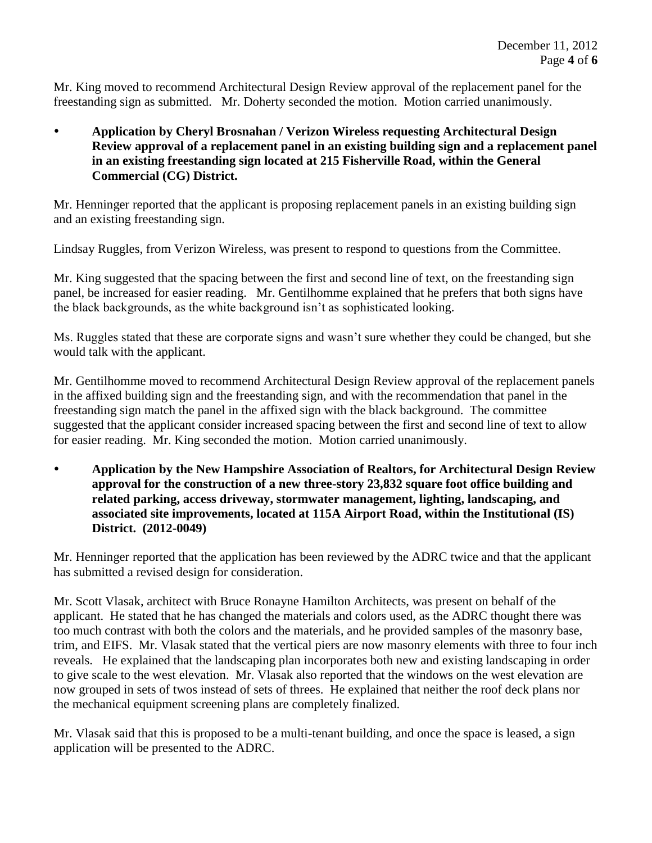Mr. King moved to recommend Architectural Design Review approval of the replacement panel for the freestanding sign as submitted. Mr. Doherty seconded the motion. Motion carried unanimously.

 **Application by Cheryl Brosnahan / Verizon Wireless requesting Architectural Design Review approval of a replacement panel in an existing building sign and a replacement panel in an existing freestanding sign located at 215 Fisherville Road, within the General Commercial (CG) District.** 

Mr. Henninger reported that the applicant is proposing replacement panels in an existing building sign and an existing freestanding sign.

Lindsay Ruggles, from Verizon Wireless, was present to respond to questions from the Committee.

Mr. King suggested that the spacing between the first and second line of text, on the freestanding sign panel, be increased for easier reading. Mr. Gentilhomme explained that he prefers that both signs have the black backgrounds, as the white background isn't as sophisticated looking.

Ms. Ruggles stated that these are corporate signs and wasn't sure whether they could be changed, but she would talk with the applicant.

Mr. Gentilhomme moved to recommend Architectural Design Review approval of the replacement panels in the affixed building sign and the freestanding sign, and with the recommendation that panel in the freestanding sign match the panel in the affixed sign with the black background. The committee suggested that the applicant consider increased spacing between the first and second line of text to allow for easier reading. Mr. King seconded the motion. Motion carried unanimously.

 **Application by the New Hampshire Association of Realtors, for Architectural Design Review approval for the construction of a new three-story 23,832 square foot office building and related parking, access driveway, stormwater management, lighting, landscaping, and associated site improvements, located at 115A Airport Road, within the Institutional (IS) District. (2012-0049)**

Mr. Henninger reported that the application has been reviewed by the ADRC twice and that the applicant has submitted a revised design for consideration.

Mr. Scott Vlasak, architect with Bruce Ronayne Hamilton Architects, was present on behalf of the applicant. He stated that he has changed the materials and colors used, as the ADRC thought there was too much contrast with both the colors and the materials, and he provided samples of the masonry base, trim, and EIFS. Mr. Vlasak stated that the vertical piers are now masonry elements with three to four inch reveals. He explained that the landscaping plan incorporates both new and existing landscaping in order to give scale to the west elevation. Mr. Vlasak also reported that the windows on the west elevation are now grouped in sets of twos instead of sets of threes. He explained that neither the roof deck plans nor the mechanical equipment screening plans are completely finalized.

Mr. Vlasak said that this is proposed to be a multi-tenant building, and once the space is leased, a sign application will be presented to the ADRC.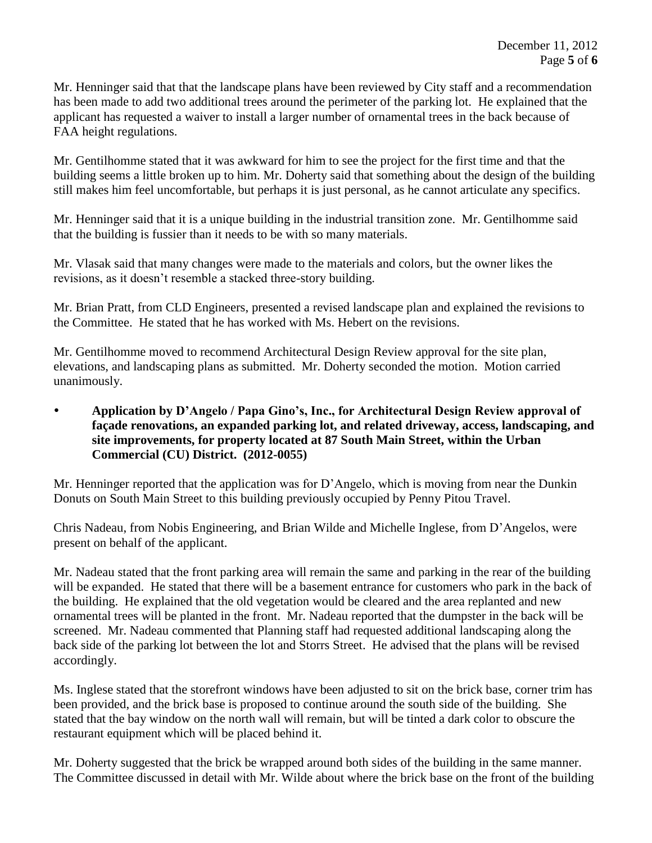Mr. Henninger said that that the landscape plans have been reviewed by City staff and a recommendation has been made to add two additional trees around the perimeter of the parking lot. He explained that the applicant has requested a waiver to install a larger number of ornamental trees in the back because of FAA height regulations.

Mr. Gentilhomme stated that it was awkward for him to see the project for the first time and that the building seems a little broken up to him. Mr. Doherty said that something about the design of the building still makes him feel uncomfortable, but perhaps it is just personal, as he cannot articulate any specifics.

Mr. Henninger said that it is a unique building in the industrial transition zone. Mr. Gentilhomme said that the building is fussier than it needs to be with so many materials.

Mr. Vlasak said that many changes were made to the materials and colors, but the owner likes the revisions, as it doesn't resemble a stacked three-story building.

Mr. Brian Pratt, from CLD Engineers, presented a revised landscape plan and explained the revisions to the Committee. He stated that he has worked with Ms. Hebert on the revisions.

Mr. Gentilhomme moved to recommend Architectural Design Review approval for the site plan, elevations, and landscaping plans as submitted. Mr. Doherty seconded the motion. Motion carried unanimously.

 **Application by D'Angelo / Papa Gino's, Inc., for Architectural Design Review approval of façade renovations, an expanded parking lot, and related driveway, access, landscaping, and site improvements, for property located at 87 South Main Street, within the Urban Commercial (CU) District. (2012-0055)**

Mr. Henninger reported that the application was for D'Angelo, which is moving from near the Dunkin Donuts on South Main Street to this building previously occupied by Penny Pitou Travel.

Chris Nadeau, from Nobis Engineering, and Brian Wilde and Michelle Inglese, from D'Angelos, were present on behalf of the applicant.

Mr. Nadeau stated that the front parking area will remain the same and parking in the rear of the building will be expanded. He stated that there will be a basement entrance for customers who park in the back of the building. He explained that the old vegetation would be cleared and the area replanted and new ornamental trees will be planted in the front. Mr. Nadeau reported that the dumpster in the back will be screened. Mr. Nadeau commented that Planning staff had requested additional landscaping along the back side of the parking lot between the lot and Storrs Street. He advised that the plans will be revised accordingly.

Ms. Inglese stated that the storefront windows have been adjusted to sit on the brick base, corner trim has been provided, and the brick base is proposed to continue around the south side of the building. She stated that the bay window on the north wall will remain, but will be tinted a dark color to obscure the restaurant equipment which will be placed behind it.

Mr. Doherty suggested that the brick be wrapped around both sides of the building in the same manner. The Committee discussed in detail with Mr. Wilde about where the brick base on the front of the building